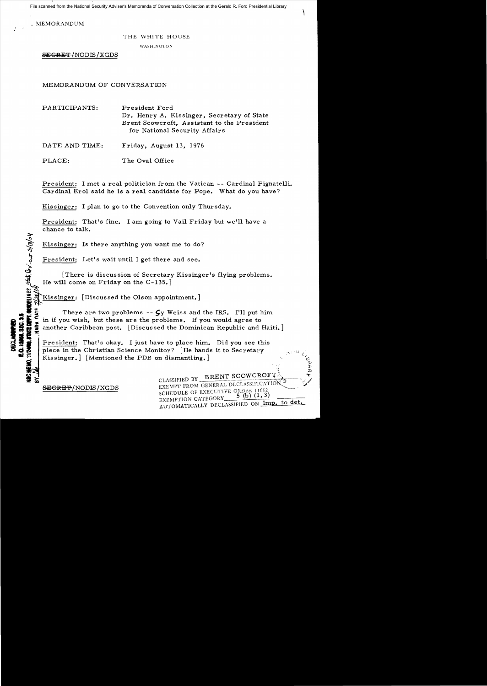File scanned from the National Security Adviser's Memoranda of Conversation Collection at the Gerald R. Ford Presidential Library

 $\mathcal{L}$ 

, MEMORANDUM

:::t-

 $\dot{\omega}$ 

':;

 $\mathcal{L}$ 

ECLARINHED<br>12956, SEC. 3

## THE WHITE HOUSE

WASHINGTON

 $SEGREF/NODIS/XGDS$ 

MEMORANDUM OF CONVERSATION

PARTICIPANTS: President Ford Dr. Henry A. Kissinger, Secretary of State Brent Scowcroft, Assistant to the President for National Security Affairs

DATE AND TIME: Friday, August 13, 1976

PLACE: The Oval Office

President: I met a real politician from the Vatican -- Cardinal Pignatelli. Cardinal Krol said he is a real candidate for Pope. What do you have?

Kissinger: I plan to go to the Convention only Thursday.

President: That's fine. I am going to Vail Friday but we'll have a chance to talk.

Kissinger: Is there anything you want me to do?

President: Let's wait until I get there and see.

[There is discussion of Secretary Kissinger's flying problems.  $He will come on Friday on the C-135.$ ]

Kissinger: [Discussed the Olson appointment.]

There are two problems **--**  $\mathcal{G}y$  Weiss and the IRS. I'll put him in if you wish, but these are the problems. If you would agree to another Caribbean post. [Discussed the Dominican Republic and Haiti.]

President: That's okay. I just have to place him. Did you see this piece in the Christian Science Monitor? [He hands it to Secretary Kissinger. | [Mentioned the PDB on dismantling.] --; i (

 $\sum_{\text{CLASSIFIED BY}} \frac{\text{BRENT SCOWCROFT}}{\text{BRENT SCOWCROFT}}$ EXEMPT FROM GENERAL DECLASSIFICATION<sup>(3)</sup><br>
SCHEDULE OF EXECUTIVE ORDER 11652<br>
EXEMPTION CATEGORY<sup>5</sup>(b)(1,3)<br>
AUTOMATICALLY DECLASSIFIED ON Imp. to det.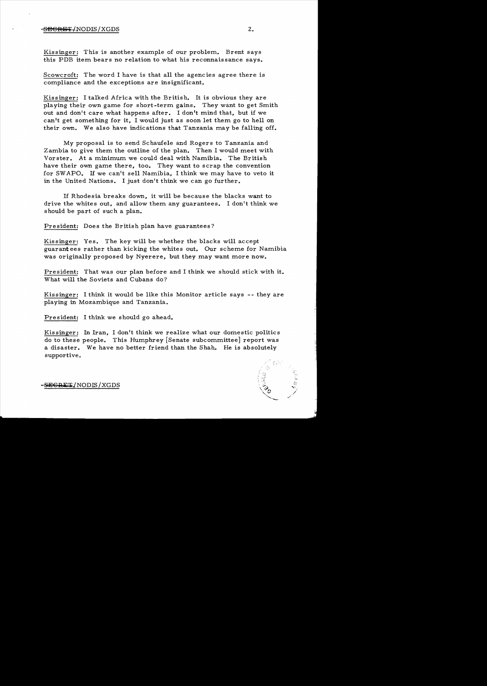## $S$ <del>discript</del>  $\sim$  2.

Kissinger: This is another example of our problem. Brent says this PDB item bears no relation to what his reconnaissance says.

Scowcroft: The word I have is that all the agencies agree there is compliance and the exceptions are insignificant.

Kissinger: I talked Africa with the British. It is obvious they are playing their own game for short-term gains. They want to get Smith out and don't care what happens after. I don't mind that, but if we can't get something for it, I would just as soon let them go to hell on their own. We also have indications that Tanzania may be falling off.

My proposal is to send Schaufele and Rogers to Tanzania and Zambia to give them the outline of the plan. Then I would meet with Vorster. At a minimum we could deal with Namibia. The British have their own game there, too. They want to scrap the convention for SWAPO. If we can't sell Namibia, I think we may have to veto it in the United Nations. I just don't think we can go further.

If Rhodesia breaks down, it will be because the blacks want to drive the whites out, and allow them any guarantees. I don't think we should be part of such a plan.

President: Does the British plan have guarantees?

Kissinger: Yes. The key will be whether the blacks will accept guarant ees rather than kicking the whites out. Our scheme for Namibia was originally proposed by Nyerere, but they may want more now.

President: That was our plan before and I think we should stick with it. What will the Soviets and Cubans do?

Kissinger: I think it would be like this Monitor article says -- they are playing in Mozambique and Tanzania.

President: I think we should go ahead.

Kissinger: In Iran, I don't think we realize what our domestic politics do to these people. This Humphrey [Senate subcommittee] report was a disaster. We have no better friend than the Shah. He is absolutely supportive.

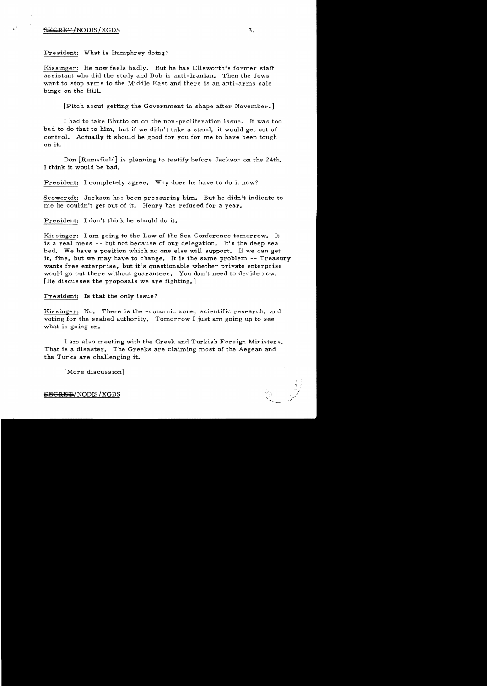## SECRET/NODIS/XGDS 3.

President: What is Humphrey doing?

Kissinger: He now feels badly. But he has Ellsworth's former staff assistant who did the study and Bob is anti-Iranian. Then the Jews want to stop arms to the Middle East and there is an anti-arms sale binge on the Hill.

[Pitch about getting the Government in shape after November.]

I had to take Bhutto on on the non-proliferation issue. It was too bad to do that to him, but if we didn't take a stand, it would get out of control. Actually it should be good for you for me to have been tough on it.

Don  $\lceil$  Rumsfield is planning to testify before Jackson on the 24th. I think it would be bad.

President: I completely agree. Why does he have to do it now?

Scowcroft: Jackson has been pressuring him. But he didn't indicate to me he couldn't get out of it. Henry has refused for a year.

President: I don't think he should do it.

Kissinger: I am going to the Law of the Sea Conference tomorrow. It is a real mess -- but not because of our delegation. It's the deep sea bed. We have a position which no one else will support. If we can get it, fine, but we may have to change. It is the same problem - - Treasury wants free enterprise, but it's questionable whether private enterprise would go out there without guarantees. You don't need to decide now. [He discusses the proposals we are fighting.]

Pre sident: Is that the only issue?

Kissinger: No. There is the economic zone, scientific research, and voting for the seabed authority. Tomorrow I just am going up to see what is going on.

I am also meeting with the Greek and Turkish Foreign Ministers. That is a disaster. The Greeks are claiming most of the Aegean and the Turks are challenging it.

[More discussion]

**EGRET/NODIS/XGDS**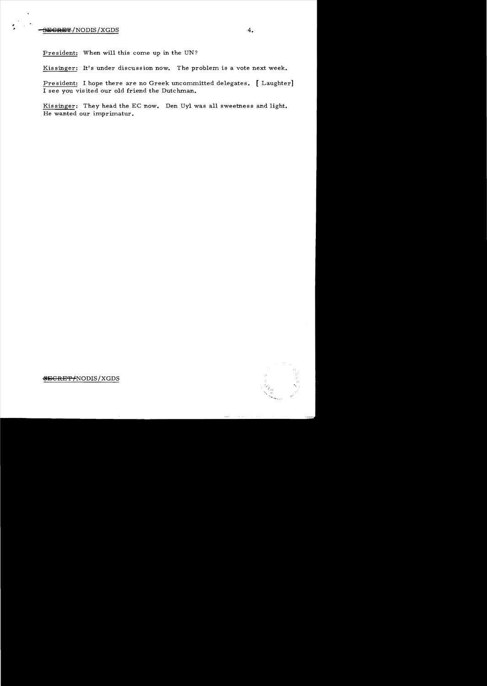## SECRET<sup>/</sup>NODIS/XGDS **4.**

President: When will this come up in the UN?

Kissinger: It's under discussion now. The problem is a vote next week.

President: I hope there are no Greek uncommitted delegates. [Laughter] I see you visited our old friend the Dutchman.

Kissinger: They head the EC now. Den Uyl was all sweetness and light. He wanted our imprimatur.



~GRE'F /NODIS *jXGDS*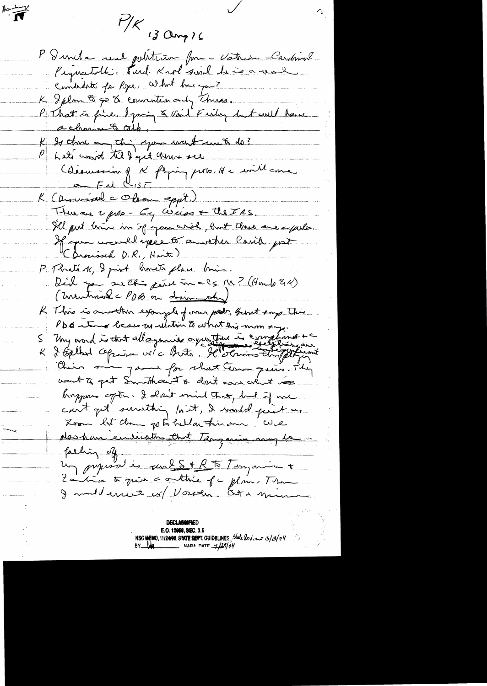$H/K$  of Clong ) 6 P I meta real politicion forme Vatrion Cardonnel Pequatolh: Tard. Krol soirel de co-val K Iplan 9 go 8 convention and Thurs. P That is fine. I gaving & vail Finday but could have a chance & calp. I to those and this your want unet do? P Let' won't till get true see Chisussim q & flying ports de millement  $F_{AB}$ K (Discussion C Obon eppt.) Thuran upon - Eq céries & the IRS. Ill put him in if you wish, but this are epito. If you wereld expect another Cavil just. (Drained D.R., Harte) P. Monté K, I print homets place brin. Déil par suché peux un = (5 M ? (Hamb 94) ( unitimal - PDB on discondul R This is another example of oner pools, burnt says this PDE tous beaus us ulation to what this mom by Uny avail is that alloyencies ayustin is complaint +c their air para for short tem quin. They want to get Smutheaut & don't can what was hoppens often. I don't mind that but if me can't get surething last, I would print on Loan let than go to hell ou thin one. We Mashan envioltes that Teaganic rang le falling off. un pripirat es quel S + R to Tingment 2 avril to quin a outline of mylim. The I multerest er Vosten. Ota min

Barbary

**DECLASGIFIED** E.O. 12056, SEC. 3.5 NSC NEWO, 11/24/08, STATE DEPT. GUIDELINES, State leview 3/09/04<br>BY Log NARA DATE 7/29/04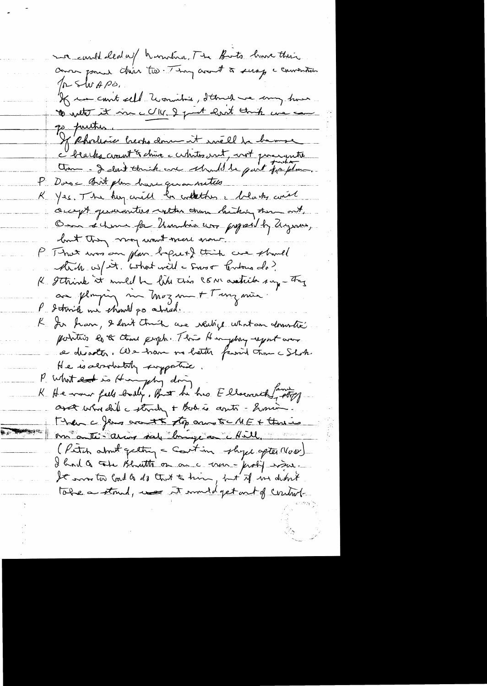me could cleated humbina. The Buts have their pr shr Apo. K me court cell uournitrée, d'Etre de comp trous go putter. If Rholence beach down it will be being I beaches croint & chure a certaintes vent, voit processanté Com - I dont touch are should be quit papelon. P. Doros Birt plan have given netwo K Yes. The huy will be collections a belowthy circle occept generantees with them history there out, Om échung fa Umbia un proposibly ayan, but they non wont mere now. P. That was an plan befuct this case should Atrib w/ est. What will a swort tentance do? K Ithink it muld be like this COM assistation say - They au ploying me Moz me + Tunz min. P detroite me chantel po atriad. K. Jer han, I don't truck are realize what an domestic pointers es & close people. This Himphay report over a disadter. We have no hetter famil time a Shok. He is advotutely supportive P. What ent is Hungshy doing K He was fell baily, But he has Ellscourt, family asset who did a struty + Bod is agets - Soming Then a few arent to any to ME + threw me auto-army sale bruge on Mill. (Peter about getting a Court in shipe after Nas) I had a tote Bhatte on on a ver - problement toke a stand, was it would get out of control.